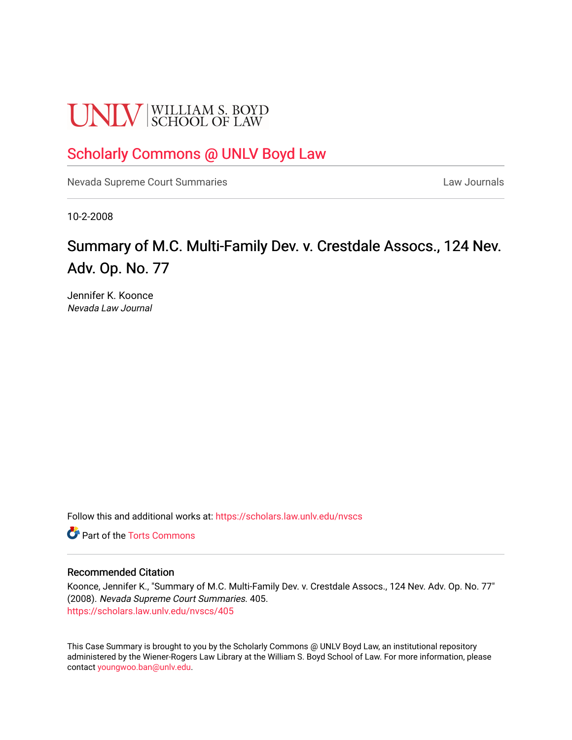# **UNLV** SCHOOL OF LAW

## [Scholarly Commons @ UNLV Boyd Law](https://scholars.law.unlv.edu/)

[Nevada Supreme Court Summaries](https://scholars.law.unlv.edu/nvscs) **Law Journals** Law Journals

10-2-2008

# Summary of M.C. Multi-Family Dev. v. Crestdale Assocs., 124 Nev. Adv. Op. No. 77

Jennifer K. Koonce Nevada Law Journal

Follow this and additional works at: [https://scholars.law.unlv.edu/nvscs](https://scholars.law.unlv.edu/nvscs?utm_source=scholars.law.unlv.edu%2Fnvscs%2F405&utm_medium=PDF&utm_campaign=PDFCoverPages)

**C** Part of the [Torts Commons](http://network.bepress.com/hgg/discipline/913?utm_source=scholars.law.unlv.edu%2Fnvscs%2F405&utm_medium=PDF&utm_campaign=PDFCoverPages)

#### Recommended Citation

Koonce, Jennifer K., "Summary of M.C. Multi-Family Dev. v. Crestdale Assocs., 124 Nev. Adv. Op. No. 77" (2008). Nevada Supreme Court Summaries. 405. [https://scholars.law.unlv.edu/nvscs/405](https://scholars.law.unlv.edu/nvscs/405?utm_source=scholars.law.unlv.edu%2Fnvscs%2F405&utm_medium=PDF&utm_campaign=PDFCoverPages)

This Case Summary is brought to you by the Scholarly Commons @ UNLV Boyd Law, an institutional repository administered by the Wiener-Rogers Law Library at the William S. Boyd School of Law. For more information, please contact [youngwoo.ban@unlv.edu](mailto:youngwoo.ban@unlv.edu).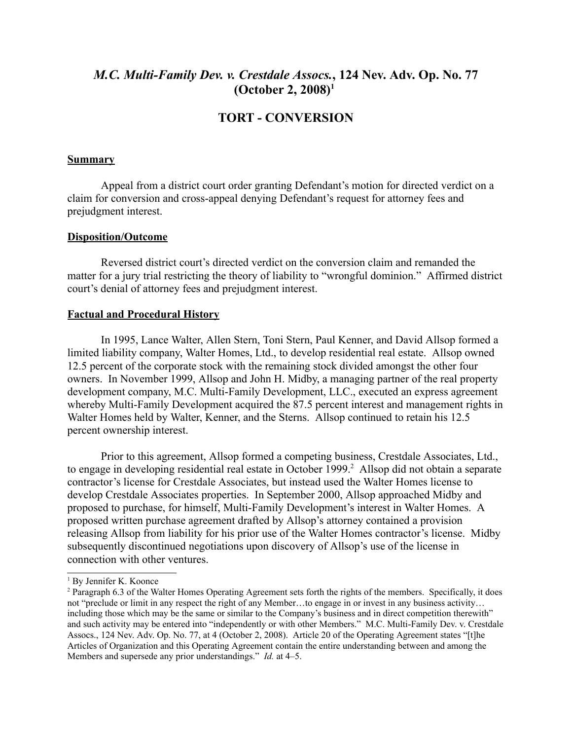## *M.C. Multi-Family Dev. v. Crestdale Assocs.***, 124 Nev. Adv. Op. No. 77 (October 2, 2008) [1](#page-1-0)**

### **TORT - CONVERSION**

#### **Summary**

Appeal from a district court order granting Defendant's motion for directed verdict on a claim for conversion and cross-appeal denying Defendant's request for attorney fees and prejudgment interest.

#### **Disposition/Outcome**

Reversed district court's directed verdict on the conversion claim and remanded the matter for a jury trial restricting the theory of liability to "wrongful dominion." Affirmed district court's denial of attorney fees and prejudgment interest.

#### **Factual and Procedural History**

In 1995, Lance Walter, Allen Stern, Toni Stern, Paul Kenner, and David Allsop formed a limited liability company, Walter Homes, Ltd., to develop residential real estate. Allsop owned 12.5 percent of the corporate stock with the remaining stock divided amongst the other four owners. In November 1999, Allsop and John H. Midby, a managing partner of the real property development company, M.C. Multi-Family Development, LLC., executed an express agreement whereby Multi-Family Development acquired the 87.5 percent interest and management rights in Walter Homes held by Walter, Kenner, and the Sterns. Allsop continued to retain his 12.5 percent ownership interest.

Prior to this agreement, Allsop formed a competing business, Crestdale Associates, Ltd., to engage in developing residential real estate in October 1999. [2](#page-1-1) Allsop did not obtain a separate contractor's license for Crestdale Associates, but instead used the Walter Homes license to develop Crestdale Associates properties. In September 2000, Allsop approached Midby and proposed to purchase, for himself, Multi-Family Development's interest in Walter Homes. A proposed written purchase agreement drafted by Allsop's attorney contained a provision releasing Allsop from liability for his prior use of the Walter Homes contractor's license. Midby subsequently discontinued negotiations upon discovery of Allsop's use of the license in connection with other ventures.

<span id="page-1-0"></span><sup>&</sup>lt;sup>1</sup> By Jennifer K. Koonce

<span id="page-1-1"></span><sup>&</sup>lt;sup>2</sup> Paragraph 6.3 of the Walter Homes Operating Agreement sets forth the rights of the members. Specifically, it does not "preclude or limit in any respect the right of any Member…to engage in or invest in any business activity… including those which may be the same or similar to the Company's business and in direct competition therewith" and such activity may be entered into "independently or with other Members." M.C. Multi-Family Dev. v. Crestdale Assocs., 124 Nev. Adv. Op. No. 77, at 4 (October 2, 2008). Article 20 of the Operating Agreement states "[t]he Articles of Organization and this Operating Agreement contain the entire understanding between and among the Members and supersede any prior understandings." *Id.* at 4–5.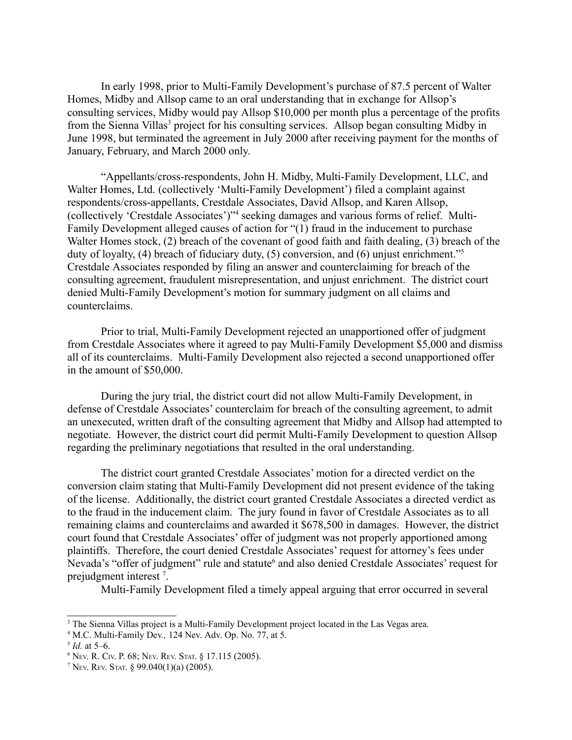In early 1998, prior to Multi-Family Development's purchase of 87.5 percent of Walter Homes, Midby and Allsop came to an oral understanding that in exchange for Allsop's consulting services, Midby would pay Allsop \$10,000 per month plus a percentage of the profits from the Sienna Villas<sup>[3](#page-2-0)</sup> project for his consulting services. Allsop began consulting Midby in June 1998, but terminated the agreement in July 2000 after receiving payment for the months of January, February, and March 2000 only.

"Appellants/cross-respondents, John H. Midby, Multi-Family Development, LLC, and Walter Homes, Ltd. (collectively 'Multi-Family Development') filed a complaint against respondents/cross-appellants, Crestdale Associates, David Allsop, and Karen Allsop, (collectively 'Crestdale Associates')" [4](#page-2-1) seeking damages and various forms of relief. Multi-Family Development alleged causes of action for "(1) fraud in the inducement to purchase Walter Homes stock, (2) breach of the covenant of good faith and faith dealing, (3) breach of the duty of loyalty, (4) breach of fiduciary duty, (5) conversion, and (6) unjust enrichment." [5](#page-2-2) Crestdale Associates responded by filing an answer and counterclaiming for breach of the consulting agreement, fraudulent misrepresentation, and unjust enrichment. The district court denied Multi-Family Development's motion for summary judgment on all claims and counterclaims.

Prior to trial, Multi-Family Development rejected an unapportioned offer of judgment from Crestdale Associates where it agreed to pay Multi-Family Development \$5,000 and dismiss all of its counterclaims. Multi-Family Development also rejected a second unapportioned offer in the amount of \$50,000.

During the jury trial, the district court did not allow Multi-Family Development, in defense of Crestdale Associates' counterclaim for breach of the consulting agreement, to admit an unexecuted, written draft of the consulting agreement that Midby and Allsop had attempted to negotiate. However, the district court did permit Multi-Family Development to question Allsop regarding the preliminary negotiations that resulted in the oral understanding.

The district court granted Crestdale Associates' motion for a directed verdict on the conversion claim stating that Multi-Family Development did not present evidence of the taking of the license. Additionally, the district court granted Crestdale Associates a directed verdict as to the fraud in the inducement claim. The jury found in favor of Crestdale Associates as to all remaining claims and counterclaims and awarded it \$678,500 in damages. However, the district court found that Crestdale Associates' offer of judgment was not properly apportioned among plaintiffs. Therefore, the court denied Crestdale Associates' request for attorney's fees under Nevada's "offer of judgment" rule and statute<sup>[6](#page-2-3)</sup> and also denied Crestdale Associates' request for prejudgment interest<sup>[7](#page-2-4)</sup>.

Multi-Family Development filed a timely appeal arguing that error occurred in several

<span id="page-2-0"></span><sup>&</sup>lt;sup>3</sup> The Sienna Villas project is a Multi-Family Development project located in the Las Vegas area.

<span id="page-2-1"></span><sup>4</sup> M.C. Multi-Family Dev*.,* 124 Nev. Adv. Op. No. 77, at 5.

<span id="page-2-2"></span><sup>5</sup> *Id.* at 5–6.

<span id="page-2-3"></span><sup>6</sup> NEV. R. CIV. P. 68; NEV. REV. STAT. § 17.115 (2005).

<span id="page-2-4"></span><sup>&</sup>lt;sup>7</sup> Nev. Rev. Stat. § 99.040(1)(a) (2005).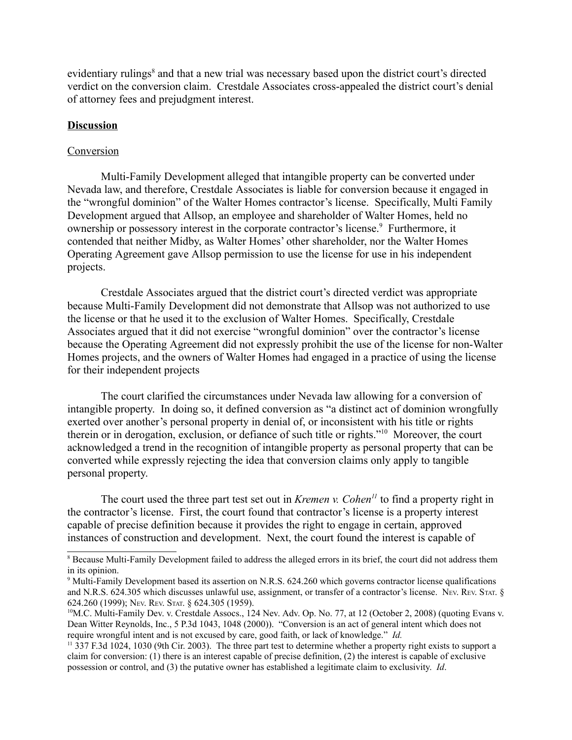evidentiary rulings<sup>[8](#page-3-0)</sup> and that a new trial was necessary based upon the district court's directed verdict on the conversion claim. Crestdale Associates cross-appealed the district court's denial of attorney fees and prejudgment interest.

#### **Discussion**

#### Conversion

Multi-Family Development alleged that intangible property can be converted under Nevada law, and therefore, Crestdale Associates is liable for conversion because it engaged in the "wrongful dominion" of the Walter Homes contractor's license. Specifically, Multi Family Development argued that Allsop, an employee and shareholder of Walter Homes, held no ownership or possessory interest in the corporate contractor's license.<sup>[9](#page-3-1)</sup> Furthermore, it contended that neither Midby, as Walter Homes' other shareholder, nor the Walter Homes Operating Agreement gave Allsop permission to use the license for use in his independent projects.

Crestdale Associates argued that the district court's directed verdict was appropriate because Multi-Family Development did not demonstrate that Allsop was not authorized to use the license or that he used it to the exclusion of Walter Homes. Specifically, Crestdale Associates argued that it did not exercise "wrongful dominion" over the contractor's license because the Operating Agreement did not expressly prohibit the use of the license for non-Walter Homes projects, and the owners of Walter Homes had engaged in a practice of using the license for their independent projects

The court clarified the circumstances under Nevada law allowing for a conversion of intangible property. In doing so, it defined conversion as "a distinct act of dominion wrongfully exerted over another's personal property in denial of, or inconsistent with his title or rights therein or in derogation, exclusion, or defiance of such title or rights." [10](#page-3-2) Moreover, the court acknowledged a trend in the recognition of intangible property as personal property that can be converted while expressly rejecting the idea that conversion claims only apply to tangible personal property.

The court used the three part test set out in *Kremen v. Cohen [11](#page-3-3)* to find a property right in the contractor's license. First, the court found that contractor's license is a property interest capable of precise definition because it provides the right to engage in certain, approved instances of construction and development. Next, the court found the interest is capable of

<span id="page-3-0"></span><sup>8</sup> Because Multi-Family Development failed to address the alleged errors in its brief, the court did not address them in its opinion.

<span id="page-3-1"></span><sup>&</sup>lt;sup>9</sup> Multi-Family Development based its assertion on N.R.S. 624.260 which governs contractor license qualifications and N.R.S. 624.305 which discusses unlawful use, assignment, or transfer of a contractor's license. Nev. Rev. STAT. § 624.260 (1999); NEV. REV. STAT. § 624.305 (1959).

<span id="page-3-2"></span><sup>&</sup>lt;sup>10</sup>M.C. Multi-Family Dev. v. Crestdale Assocs., 124 Nev. Adv. Op. No. 77, at 12 (October 2, 2008) (quoting Evans v. Dean Witter Reynolds, Inc., 5 P.3d 1043, 1048 (2000)). "Conversion is an act of general intent which does not require wrongful intent and is not excused by care, good faith, or lack of knowledge." *Id.*

<span id="page-3-3"></span><sup>&</sup>lt;sup>11</sup> 337 F.3d 1024, 1030 (9th Cir. 2003). The three part test to determine whether a property right exists to support a claim for conversion: (1) there is an interest capable of precise definition, (2) the interest is capable of exclusive possession or control, and (3) the putative owner has established a legitimate claim to exclusivity. *Id*.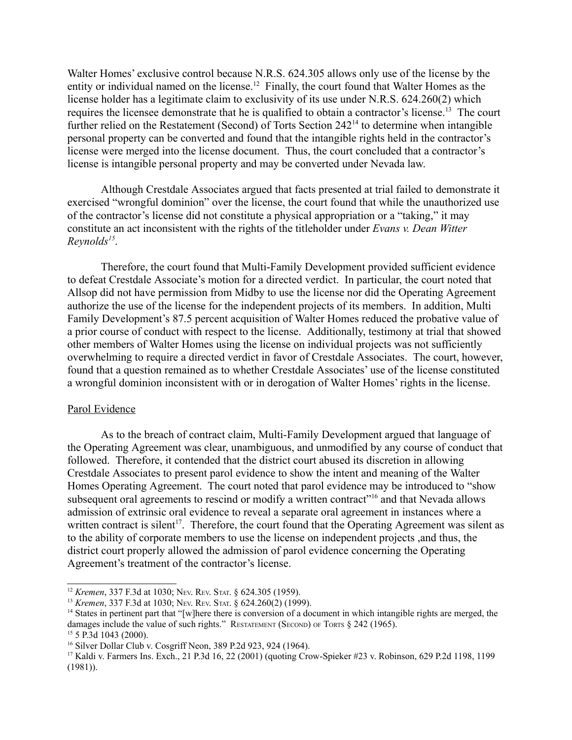Walter Homes' exclusive control because N.R.S. 624.305 allows only use of the license by the entity or individual named on the license.<sup>[12](#page-4-0)</sup> Finally, the court found that Walter Homes as the license holder has a legitimate claim to exclusivity of its use under N.R.S. 624.260(2) which requires the licensee demonstrate that he is qualified to obtain a contractor's license.<sup>[13](#page-4-1)</sup> The court further relied on the Restatement (Second) of Torts Section 242<sup>[14](#page-4-2)</sup> to determine when intangible personal property can be converted and found that the intangible rights held in the contractor's license were merged into the license document. Thus, the court concluded that a contractor's license is intangible personal property and may be converted under Nevada law.

Although Crestdale Associates argued that facts presented at trial failed to demonstrate it exercised "wrongful dominion" over the license, the court found that while the unauthorized use of the contractor's license did not constitute a physical appropriation or a "taking," it may constitute an act inconsistent with the rights of the titleholder under *Evans v. Dean Witter Reynolds [15](#page-4-3)* .

Therefore, the court found that Multi-Family Development provided sufficient evidence to defeat Crestdale Associate's motion for a directed verdict. In particular, the court noted that Allsop did not have permission from Midby to use the license nor did the Operating Agreement authorize the use of the license for the independent projects of its members. In addition, Multi Family Development's 87.5 percent acquisition of Walter Homes reduced the probative value of a prior course of conduct with respect to the license. Additionally, testimony at trial that showed other members of Walter Homes using the license on individual projects was not sufficiently overwhelming to require a directed verdict in favor of Crestdale Associates. The court, however, found that a question remained as to whether Crestdale Associates' use of the license constituted a wrongful dominion inconsistent with or in derogation of Walter Homes' rights in the license.

#### Parol Evidence

As to the breach of contract claim, Multi-Family Development argued that language of the Operating Agreement was clear, unambiguous, and unmodified by any course of conduct that followed. Therefore, it contended that the district court abused its discretion in allowing Crestdale Associates to present parol evidence to show the intent and meaning of the Walter Homes Operating Agreement. The court noted that parol evidence may be introduced to "show subsequent oral agreements to rescind or modify a written contract"<sup>[16](#page-4-4)</sup> and that Nevada allows admission of extrinsic oral evidence to reveal a separate oral agreement in instances where a written contract is silent<sup>[17](#page-4-5)</sup>. Therefore, the court found that the Operating Agreement was silent as to the ability of corporate members to use the license on independent projects ,and thus, the district court properly allowed the admission of parol evidence concerning the Operating Agreement's treatment of the contractor's license.

<span id="page-4-0"></span><sup>12</sup> *Kremen*, 337 F.3d at 1030; NEV. REV. STAT. § 624.305 (1959).

<span id="page-4-1"></span><sup>13</sup> *Kremen*, 337 F.3d at 1030; NEV. REV. STAT. § 624.260(2) (1999).

<span id="page-4-2"></span><sup>&</sup>lt;sup>14</sup> States in pertinent part that "[w]here there is conversion of a document in which intangible rights are merged, the damages include the value of such rights." RESTATEMENT (SECOND) OF TORTS § 242 (1965). <sup>15</sup> 5 P.3d 1043 (2000).

<span id="page-4-4"></span><span id="page-4-3"></span><sup>16</sup> Silver Dollar Club v. Cosgriff Neon, 389 P.2d 923, 924 (1964).

<span id="page-4-5"></span><sup>17</sup> Kaldi v. Farmers Ins. Exch., 21 P.3d 16, 22 (2001) (quoting Crow-Spieker #23 v. Robinson, 629 P.2d 1198, 1199 (1981)).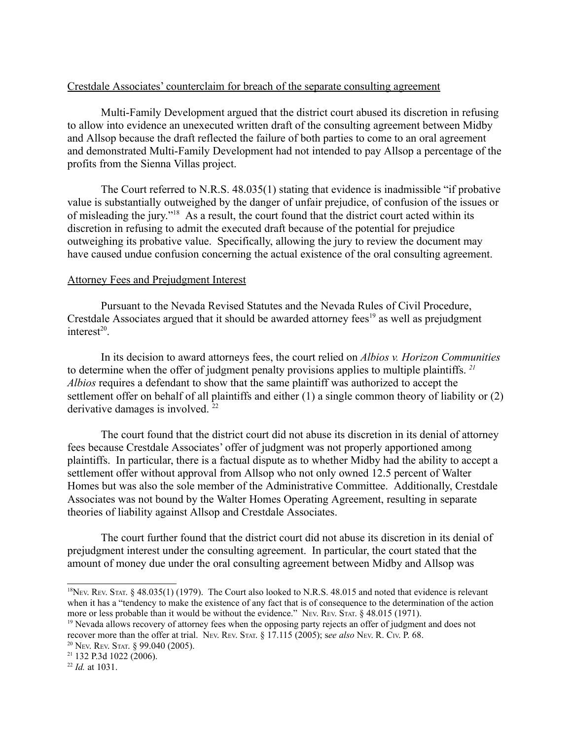#### Crestdale Associates' counterclaim for breach of the separate consulting agreement

Multi-Family Development argued that the district court abused its discretion in refusing to allow into evidence an unexecuted written draft of the consulting agreement between Midby and Allsop because the draft reflected the failure of both parties to come to an oral agreement and demonstrated Multi-Family Development had not intended to pay Allsop a percentage of the profits from the Sienna Villas project.

The Court referred to N.R.S. 48.035(1) stating that evidence is inadmissible "if probative value is substantially outweighed by the danger of unfair prejudice, of confusion of the issues or of misleading the jury." [18](#page-5-0) As a result, the court found that the district court acted within its discretion in refusing to admit the executed draft because of the potential for prejudice outweighing its probative value. Specifically, allowing the jury to review the document may have caused undue confusion concerning the actual existence of the oral consulting agreement.

#### Attorney Fees and Prejudgment Interest

Pursuant to the Nevada Revised Statutes and the Nevada Rules of Civil Procedure, Crestdale Associates argued that it should be awarded attorney fees<sup>[19](#page-5-1)</sup> as well as prejudgment interest [20](#page-5-2) .

In its decision to award attorneys fees, the court relied on *Albios v. Horizon Communities* to determine when the offer of judgment penalty provisions applies to multiple plaintiffs. *[21](#page-5-3) Albios* requires a defendant to show that the same plaintiff was authorized to accept the settlement offer on behalf of all plaintiffs and either (1) a single common theory of liability or (2) derivative damages is involved.<sup>[22](#page-5-4)</sup>

The court found that the district court did not abuse its discretion in its denial of attorney fees because Crestdale Associates' offer of judgment was not properly apportioned among plaintiffs. In particular, there is a factual dispute as to whether Midby had the ability to accept a settlement offer without approval from Allsop who not only owned 12.5 percent of Walter Homes but was also the sole member of the Administrative Committee. Additionally, Crestdale Associates was not bound by the Walter Homes Operating Agreement, resulting in separate theories of liability against Allsop and Crestdale Associates.

The court further found that the district court did not abuse its discretion in its denial of prejudgment interest under the consulting agreement. In particular, the court stated that the amount of money due under the oral consulting agreement between Midby and Allsop was

<span id="page-5-0"></span><sup>&</sup>lt;sup>18</sup>NEV. REV. STAT. § 48.035(1) (1979). The Court also looked to N.R.S. 48.015 and noted that evidence is relevant when it has a "tendency to make the existence of any fact that is of consequence to the determination of the action more or less probable than it would be without the evidence." NEV. REV. STAT. § 48.015 (1971).

<span id="page-5-1"></span><sup>&</sup>lt;sup>19</sup> Nevada allows recovery of attorney fees when the opposing party rejects an offer of judgment and does not recover more than the offer at trial. NEV. REV. STAT. § 17.115 (2005); s*ee also* NEV. R. CIV. P. 68. <sup>20</sup> NEV. REV. STAT. § 99.040 (2005).

<span id="page-5-3"></span><span id="page-5-2"></span><sup>21</sup> 132 P.3d 1022 (2006).

<span id="page-5-4"></span><sup>22</sup> *Id.* at 1031.